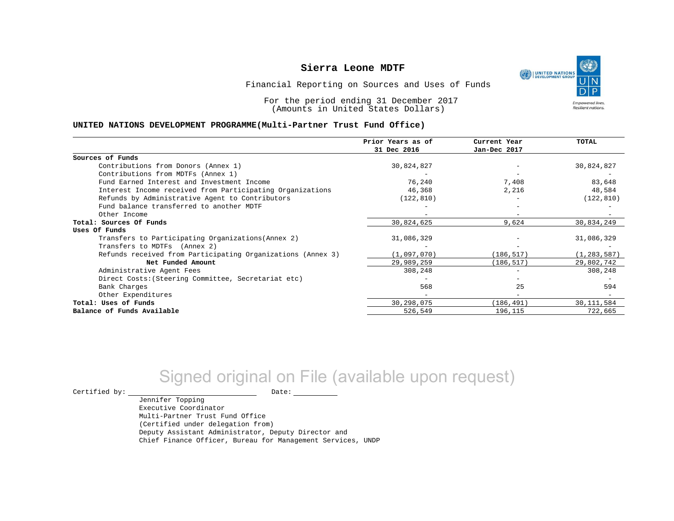

Financial Reporting on Sources and Uses of Funds

For the period ending 31 December 2017 (Amounts in United States Dollars)

#### **UNITED NATIONS DEVELOPMENT PROGRAMME(Multi-Partner Trust Fund Office)**

|                                                             | Prior Years as of | Current Year | TOTAL         |
|-------------------------------------------------------------|-------------------|--------------|---------------|
|                                                             | 31 Dec 2016       | Jan-Dec 2017 |               |
| Sources of Funds                                            |                   |              |               |
| Contributions from Donors (Annex 1)                         | 30,824,827        |              | 30,824,827    |
| Contributions from MDTFs (Annex 1)                          |                   |              |               |
| Fund Earned Interest and Investment Income                  | 76,240            | 7,408        | 83,648        |
| Interest Income received from Participating Organizations   | 46,368            | 2,216        | 48,584        |
| Refunds by Administrative Agent to Contributors             | (122, 810)        |              | (122, 810)    |
| Fund balance transferred to another MDTF                    |                   |              |               |
| Other Income                                                |                   |              |               |
| Total: Sources Of Funds                                     | 30,824,625        | 9,624        | 30,834,249    |
| Uses Of Funds                                               |                   |              |               |
| Transfers to Participating Organizations (Annex 2)          | 31,086,329        |              | 31,086,329    |
| Transfers to MDTFs (Annex 2)                                |                   |              |               |
| Refunds received from Participating Organizations (Annex 3) | (1,097,070)       | (186, 517)   | (1, 283, 587) |
| Net Funded Amount                                           | 29,989,259        | (186, 517)   | 29,802,742    |
| Administrative Agent Fees                                   | 308,248           |              | 308,248       |
| Direct Costs: (Steering Committee, Secretariat etc)         |                   |              |               |
| Bank Charges                                                | 568               | 25           | 594           |
| Other Expenditures                                          |                   |              |               |
| Total: Uses of Funds                                        | 30,298,075        | (186, 491)   | 30, 111, 584  |
| Balance of Funds Available                                  | 526,549           | 196,115      | 722,665       |

# Signed original on File (available upon request)

Certified by: Date:

Jennifer Topping

Executive Coordinator Multi-Partner Trust Fund Office (Certified under delegation from) Deputy Assistant Administrator, Deputy Director and Chief Finance Officer, Bureau for Management Services, UNDP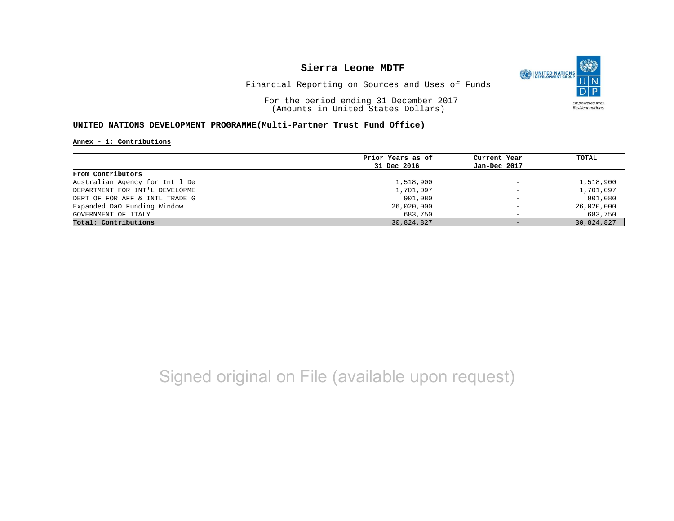

Financial Reporting on Sources and Uses of Funds

For the period ending 31 December 2017 (Amounts in United States Dollars)

### **UNITED NATIONS DEVELOPMENT PROGRAMME(Multi-Partner Trust Fund Office)**

#### **Annex - 1: Contributions**

|                                | Prior Years as of | Current Year                 | TOTAL      |
|--------------------------------|-------------------|------------------------------|------------|
|                                | 31 Dec 2016       | Jan-Dec 2017                 |            |
| From Contributors              |                   |                              |            |
| Australian Agency for Int'l De | 1,518,900         | $\qquad \qquad -$            | 1,518,900  |
| DEPARTMENT FOR INT'L DEVELOPME | 1,701,097         | $\qquad \qquad \blacksquare$ | 1,701,097  |
| DEPT OF FOR AFF & INTL TRADE G | 901,080           | $\qquad \qquad -$            | 901,080    |
| Expanded DaO Funding Window    | 26,020,000        | $\overline{\phantom{0}}$     | 26,020,000 |
| GOVERNMENT OF ITALY            | 683,750           | $\overline{\phantom{0}}$     | 683,750    |
| Total: Contributions           | 30,824,827        | $-$                          | 30,824,827 |

## Signed original on File (available upon request)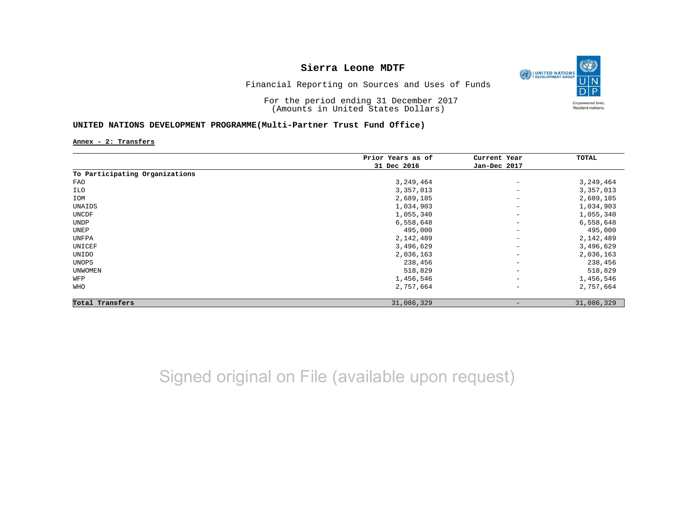

Financial Reporting on Sources and Uses of Funds

For the period ending 31 December 2017 (Amounts in United States Dollars)

### **UNITED NATIONS DEVELOPMENT PROGRAMME(Multi-Partner Trust Fund Office)**

**Annex - 2: Transfers**

|                                | Prior Years as of | Current Year                 | TOTAL      |
|--------------------------------|-------------------|------------------------------|------------|
|                                | 31 Dec 2016       | Jan-Dec 2017                 |            |
| To Participating Organizations |                   |                              |            |
| FAO                            | 3,249,464         | $\qquad \qquad -$            | 3,249,464  |
| ILO                            | 3,357,013         | $\qquad \qquad \blacksquare$ | 3,357,013  |
| IOM                            | 2,689,185         | $\overline{\phantom{m}}$     | 2,689,185  |
| UNAIDS                         | 1,034,903         | $\overline{\phantom{m}}$     | 1,034,903  |
| UNCDF                          | 1,055,340         | $\overline{\phantom{m}}$     | 1,055,340  |
| UNDP                           | 6,558,648         | $\overline{\phantom{m}}$     | 6,558,648  |
| UNEP                           | 495,000           | $\qquad \qquad -$            | 495,000    |
| UNFPA                          | 2,142,489         | $\overline{\phantom{m}}$     | 2,142,489  |
| UNICEF                         | 3,496,629         | $\qquad \qquad -$            | 3,496,629  |
| UNIDO                          | 2,036,163         | $\qquad \qquad -$            | 2,036,163  |
| UNOPS                          | 238,456           | $\qquad \qquad -$            | 238,456    |
| <b>UNWOMEN</b>                 | 518,829           | $\overline{\phantom{m}}$     | 518,829    |
| WFP                            | 1,456,546         | $\overline{\phantom{m}}$     | 1,456,546  |
| <b>WHO</b>                     | 2,757,664         | $\qquad \qquad -$            | 2,757,664  |
| Total Transfers                | 31,086,329        | $\qquad \qquad$              | 31,086,329 |

# Signed original on File (available upon request)